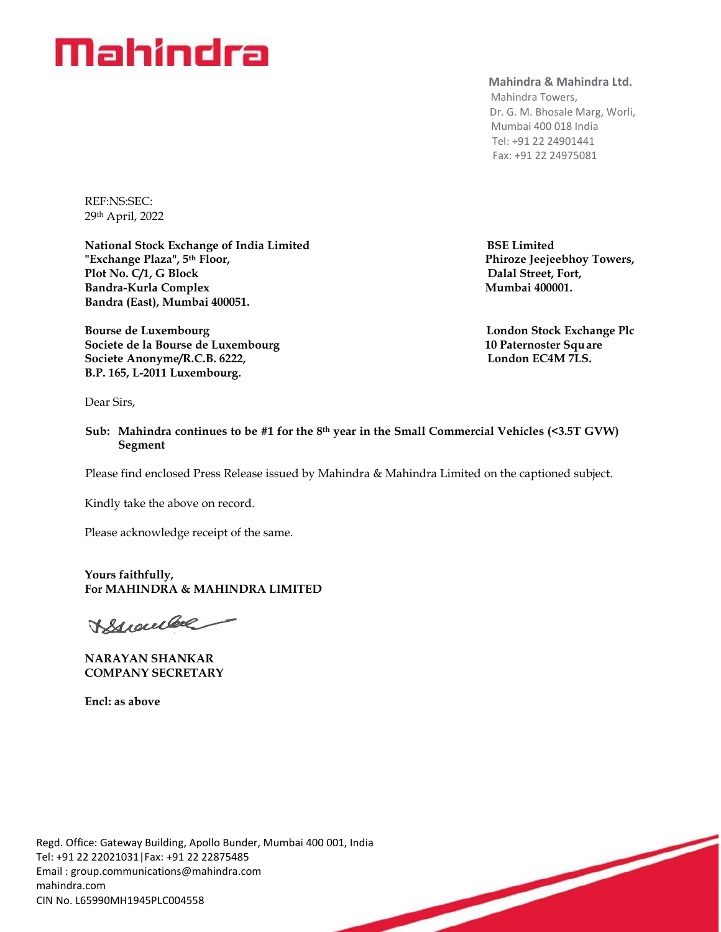# **Mahindra**

#### **Mahindra & Mahindra Ltd.**

 Mahindra Towers, Dr. G. M. Bhosale Marg, Worli, Mumbai 400 018 India Tel: +91 22 24901441 Fax: +91 22 24975081

**Phiroze Jeejeebhoy Towers,** 

REF:NS:SEC: 29th April, 2022

National Stock Exchange of India Limited **BSE Limited** BSE Limited **BSE Limited BSE Limited Phiroze Jeeje Plot No. C/1, G Block Dalal Street, Fort, Bandra-Kurla Complex Mumbai 400001. Bandra (East), Mumbai 400051.**

Bourse de Luxembourg **London Stock Exchange Plc Societe de la Bourse de Luxembourg 10 Paternoster Square** Societe Anonyme/R.C.B. 6222, London EC4M 7LS. **B.P. 165, L-2011 Luxembourg.**

Dear Sirs,

 **Sub: Mahindra continues to be #1 for the 8 th year in the Small Commercial Vehicles (<3.5T GVW) Segment**

Please find enclosed Press Release issued by Mahindra & Mahindra Limited on the captioned subject.

Kindly take the above on record.

Please acknowledge receipt of the same.

**Yours faithfully, For MAHINDRA & MAHINDRA LIMITED** 

Buendal

**NARAYAN SHANKAR COMPANY SECRETARY** 

**Encl: as above**

Regd. Office: Gateway Building, Apollo Bunder, Mumbai 400 001, India Tel: +91 22 22021031|Fax: +91 22 22875485 Email : [group.communications@mahindra.com](mailto:group.communications@mahindra.com) mahindra.com CIN No. L65990MH1945PLC004558

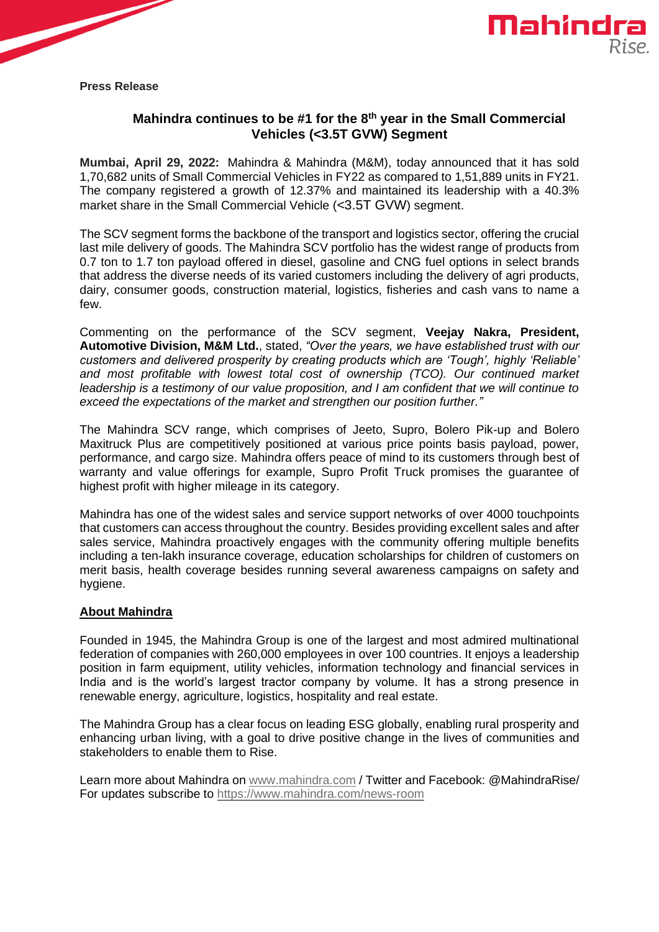



**Press Release**

## **Mahindra continues to be #1 for the 8 th year in the Small Commercial Vehicles (<3.5T GVW) Segment**

**Mumbai, April 29, 2022:** Mahindra & Mahindra (M&M), today announced that it has sold 1,70,682 units of Small Commercial Vehicles in FY22 as compared to 1,51,889 units in FY21. The company registered a growth of 12.37% and maintained its leadership with a 40.3% market share in the Small Commercial Vehicle (<3.5T GVW) segment.

The SCV segment forms the backbone of the transport and logistics sector, offering the crucial last mile delivery of goods. The Mahindra SCV portfolio has the widest range of products from 0.7 ton to 1.7 ton payload offered in diesel, gasoline and CNG fuel options in select brands that address the diverse needs of its varied customers including the delivery of agri products, dairy, consumer goods, construction material, logistics, fisheries and cash vans to name a few.

Commenting on the performance of the SCV segment, **Veejay Nakra, President, Automotive Division, M&M Ltd.**, stated, *"Over the years, we have established trust with our customers and delivered prosperity by creating products which are 'Tough', highly 'Reliable'*  and most profitable with lowest total cost of ownership (TCO). Our continued market *leadership is a testimony of our value proposition, and I am confident that we will continue to exceed the expectations of the market and strengthen our position further."* 

The Mahindra SCV range, which comprises of Jeeto, Supro, Bolero Pik-up and Bolero Maxitruck Plus are competitively positioned at various price points basis payload, power, performance, and cargo size. Mahindra offers peace of mind to its customers through best of warranty and value offerings for example, Supro Profit Truck promises the guarantee of highest profit with higher mileage in its category.

Mahindra has one of the widest sales and service support networks of over 4000 touchpoints that customers can access throughout the country. Besides providing excellent sales and after sales service, Mahindra proactively engages with the community offering multiple benefits including a ten-lakh insurance coverage, education scholarships for children of customers on merit basis, health coverage besides running several awareness campaigns on safety and hygiene.

### **About Mahindra**

Founded in 1945, the Mahindra Group is one of the largest and most admired multinational federation of companies with 260,000 employees in over 100 countries. It enjoys a leadership position in farm equipment, utility vehicles, information technology and financial services in India and is the world's largest tractor company by volume. It has a strong presence in renewable energy, agriculture, logistics, hospitality and real estate.

The Mahindra Group has a clear focus on leading ESG globally, enabling rural prosperity and enhancing urban living, with a goal to drive positive change in the lives of communities and stakeholders to enable them to Rise.

Learn more about Mahindra on [www.mahindra.com](http://secure-web.cisco.com/12MnlarNPYsUrXq6R1t_FIxWgBOjDQoT-B2RNVMTTt3KX-3aTPSV1zgX05OA-enxFhWYun53lqGNQkhApV1G95Pj1nwECDyQ2BtoxY6iU1MhjSRkJaushFIHBeIY9QerwzI8fvS-ZhRy_MduNPuBdE3HJ6W3hMXMzu4Urvc9nBNu4C5GV_t3iyAWYwP9ecgNsWcF97I64356Vqu80Mb64fmUy2h0dHq8BEE7LfwSr4WNzQagT33Xgk9IvSv-VxB5EdXbqDV3i4hbayjK1or-2O-rM2C5XaKV2j_Q8rfffzReJqCUgNfafylLNjsU_oxCRSvJeQq_qNdzhnwQmVCzqJa0gqYEg46y5eXz9Rkw_1Gk/http%253A%252F%252Fwww.mahindra.com) / Twitter and Facebook: @MahindraRise/ For updates subscribe to [https://www.mahindra.com/news-room](https://secure-web.cisco.com/1CHu9FIOxGc4AVFDnyYCCASlljDL5yciOb-cGq4vtbic8uUvc7BPXUd-cs-0axqK26GRRKKPRCIAs-QR16Jr_CeS1jUJZLOdObQ9HO8kl4TIYC59ujIW2nQRG1Nu_YKDFTmbEfa6htoN9r70MeasvR5KpAJdzitAjbesIRlNTORISOQK95HecOdNOLXDRKIzzp63zHInnxGRkB456h49lron4Swv3s5mYkEOhlMjN-qftzT4wM0ed9KXuIYxwTZbkrXA-asLZr_yeT5vqjqYek87gV3mzSI7iXy8LxRZ73p3MflloilIFOd1pwIDZGwI92R2apsmXlv95VhMixULzcK2zrgmhmcAG4YxmJ-fm928/https%253A%252F%252Fwww.mahindra.com%252Fnews-room)